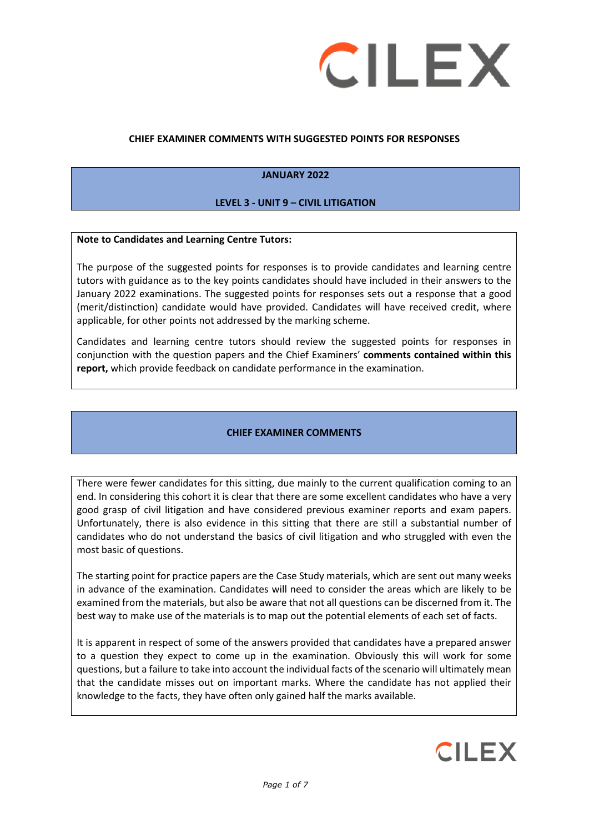

#### **CHIEF EXAMINER COMMENTS WITH SUGGESTED POINTS FOR RESPONSES**

#### **JANUARY 2022**

#### **LEVEL 3 - UNIT 9 – CIVIL LITIGATION**

#### **Note to Candidates and Learning Centre Tutors:**

The purpose of the suggested points for responses is to provide candidates and learning centre tutors with guidance as to the key points candidates should have included in their answers to the January 2022 examinations. The suggested points for responses sets out a response that a good (merit/distinction) candidate would have provided. Candidates will have received credit, where applicable, for other points not addressed by the marking scheme.

Candidates and learning centre tutors should review the suggested points for responses in conjunction with the question papers and the Chief Examiners' **comments contained within this report,** which provide feedback on candidate performance in the examination.

#### **CHIEF EXAMINER COMMENTS**

There were fewer candidates for this sitting, due mainly to the current qualification coming to an end. In considering this cohort it is clear that there are some excellent candidates who have a very good grasp of civil litigation and have considered previous examiner reports and exam papers. Unfortunately, there is also evidence in this sitting that there are still a substantial number of candidates who do not understand the basics of civil litigation and who struggled with even the most basic of questions.

The starting point for practice papers are the Case Study materials, which are sent out many weeks in advance of the examination. Candidates will need to consider the areas which are likely to be examined from the materials, but also be aware that not all questions can be discerned from it. The best way to make use of the materials is to map out the potential elements of each set of facts.

It is apparent in respect of some of the answers provided that candidates have a prepared answer to a question they expect to come up in the examination. Obviously this will work for some questions, but a failure to take into account the individual facts of the scenario will ultimately mean that the candidate misses out on important marks. Where the candidate has not applied their knowledge to the facts, they have often only gained half the marks available.

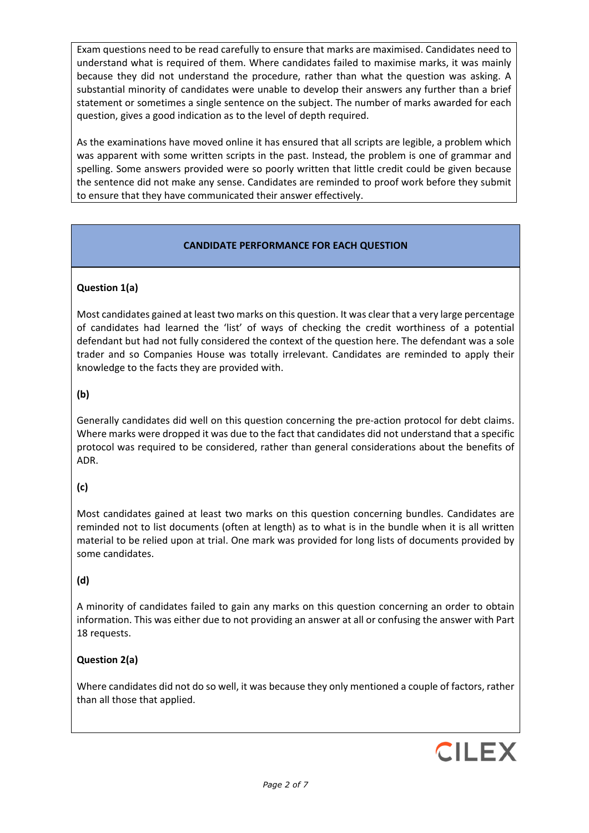Exam questions need to be read carefully to ensure that marks are maximised. Candidates need to understand what is required of them. Where candidates failed to maximise marks, it was mainly because they did not understand the procedure, rather than what the question was asking. A substantial minority of candidates were unable to develop their answers any further than a brief statement or sometimes a single sentence on the subject. The number of marks awarded for each question, gives a good indication as to the level of depth required.

As the examinations have moved online it has ensured that all scripts are legible, a problem which was apparent with some written scripts in the past. Instead, the problem is one of grammar and spelling. Some answers provided were so poorly written that little credit could be given because the sentence did not make any sense. Candidates are reminded to proof work before they submit to ensure that they have communicated their answer effectively.

## **CANDIDATE PERFORMANCE FOR EACH QUESTION**

## **Question 1(a)**

Most candidates gained at least two marks on this question. It was clear that a very large percentage of candidates had learned the 'list' of ways of checking the credit worthiness of a potential defendant but had not fully considered the context of the question here. The defendant was a sole trader and so Companies House was totally irrelevant. Candidates are reminded to apply their knowledge to the facts they are provided with.

## **(b)**

Generally candidates did well on this question concerning the pre-action protocol for debt claims. Where marks were dropped it was due to the fact that candidates did not understand that a specific protocol was required to be considered, rather than general considerations about the benefits of ADR.

# **(c)**

Most candidates gained at least two marks on this question concerning bundles. Candidates are reminded not to list documents (often at length) as to what is in the bundle when it is all written material to be relied upon at trial. One mark was provided for long lists of documents provided by some candidates.

# **(d)**

A minority of candidates failed to gain any marks on this question concerning an order to obtain information. This was either due to not providing an answer at all or confusing the answer with Part 18 requests.

## **Question 2(a)**

Where candidates did not do so well, it was because they only mentioned a couple of factors, rather than all those that applied.

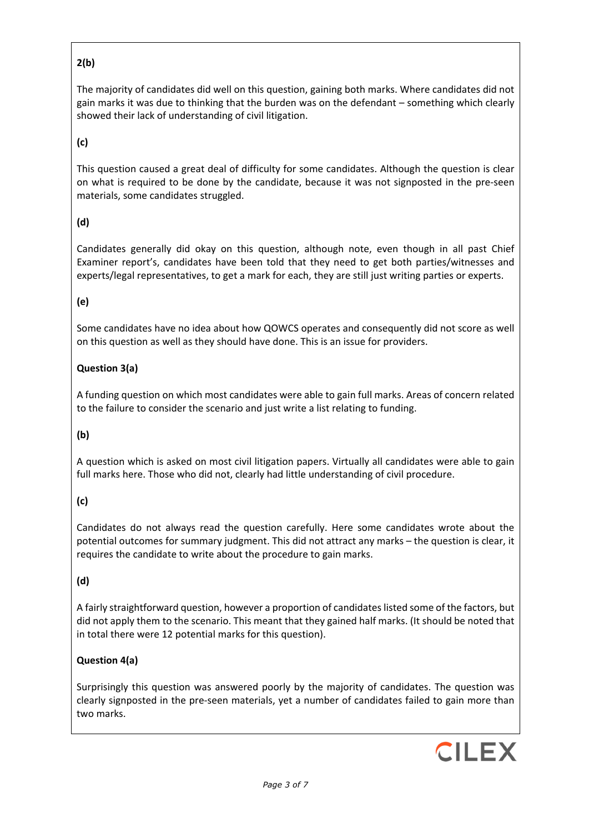# **2(b)**

The majority of candidates did well on this question, gaining both marks. Where candidates did not gain marks it was due to thinking that the burden was on the defendant – something which clearly showed their lack of understanding of civil litigation.

## **(c)**

This question caused a great deal of difficulty for some candidates. Although the question is clear on what is required to be done by the candidate, because it was not signposted in the pre-seen materials, some candidates struggled.

## **(d)**

Candidates generally did okay on this question, although note, even though in all past Chief Examiner report's, candidates have been told that they need to get both parties/witnesses and experts/legal representatives, to get a mark for each, they are still just writing parties or experts.

## **(e)**

Some candidates have no idea about how QOWCS operates and consequently did not score as well on this question as well as they should have done. This is an issue for providers.

## **Question 3(a)**

A funding question on which most candidates were able to gain full marks. Areas of concern related to the failure to consider the scenario and just write a list relating to funding.

## **(b)**

A question which is asked on most civil litigation papers. Virtually all candidates were able to gain full marks here. Those who did not, clearly had little understanding of civil procedure.

# **(c)**

Candidates do not always read the question carefully. Here some candidates wrote about the potential outcomes for summary judgment. This did not attract any marks – the question is clear, it requires the candidate to write about the procedure to gain marks.

## **(d)**

A fairly straightforward question, however a proportion of candidates listed some of the factors, but did not apply them to the scenario. This meant that they gained half marks. (It should be noted that in total there were 12 potential marks for this question).

## **Question 4(a)**

Surprisingly this question was answered poorly by the majority of candidates. The question was clearly signposted in the pre-seen materials, yet a number of candidates failed to gain more than two marks.

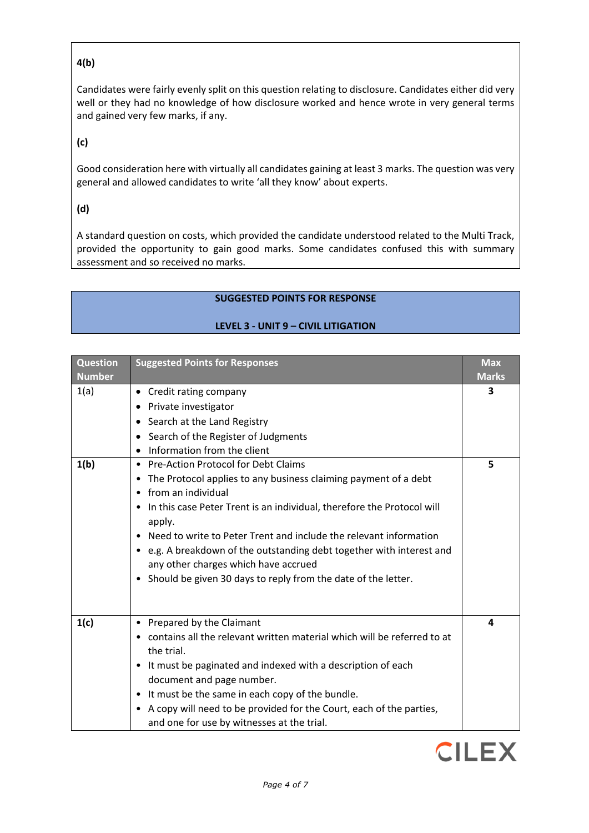## **4(b)**

Candidates were fairly evenly split on this question relating to disclosure. Candidates either did very well or they had no knowledge of how disclosure worked and hence wrote in very general terms and gained very few marks, if any.

## **(c)**

Good consideration here with virtually all candidates gaining at least 3 marks. The question was very general and allowed candidates to write 'all they know' about experts.

### **(d)**

A standard question on costs, which provided the candidate understood related to the Multi Track, provided the opportunity to gain good marks. Some candidates confused this with summary assessment and so received no marks.

## **SUGGESTED POINTS FOR RESPONSE**

### **LEVEL 3 - UNIT 9 – CIVIL LITIGATION**

| <b>Question</b><br><b>Number</b> | <b>Suggested Points for Responses</b>                                                                                                                                                                                                                                                                                                                                                         | <b>Max</b><br><b>Marks</b> |
|----------------------------------|-----------------------------------------------------------------------------------------------------------------------------------------------------------------------------------------------------------------------------------------------------------------------------------------------------------------------------------------------------------------------------------------------|----------------------------|
| 1(a)<br>1(b)                     | • Credit rating company<br>• Private investigator<br>Search at the Land Registry<br>Search of the Register of Judgments<br>Information from the client<br>• Pre-Action Protocol for Debt Claims<br>• The Protocol applies to any business claiming payment of a debt<br>from an individual<br>$\bullet$                                                                                       | 3<br>5                     |
|                                  | In this case Peter Trent is an individual, therefore the Protocol will<br>apply.<br>Need to write to Peter Trent and include the relevant information<br>• e.g. A breakdown of the outstanding debt together with interest and<br>any other charges which have accrued<br>Should be given 30 days to reply from the date of the letter.<br>$\bullet$                                          |                            |
| 1(c)                             | • Prepared by the Claimant<br>• contains all the relevant written material which will be referred to at<br>the trial.<br>• It must be paginated and indexed with a description of each<br>document and page number.<br>• It must be the same in each copy of the bundle.<br>A copy will need to be provided for the Court, each of the parties,<br>and one for use by witnesses at the trial. | 4                          |

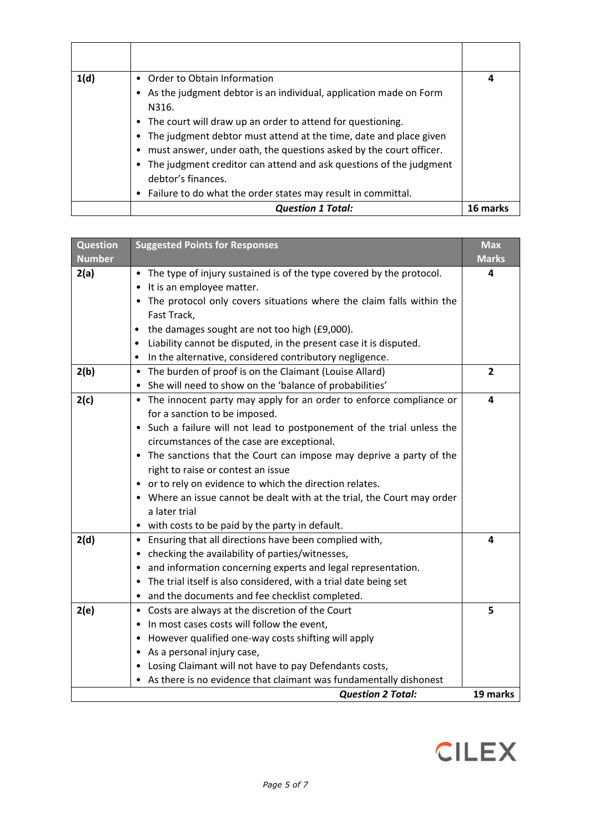| 1(d) | • Order to Obtain Information<br>• As the judgment debtor is an individual, application made on Form<br>N316.<br>• The court will draw up an order to attend for questioning.<br>The judgment debtor must attend at the time, date and place given<br>$\bullet$ | 4        |
|------|-----------------------------------------------------------------------------------------------------------------------------------------------------------------------------------------------------------------------------------------------------------------|----------|
|      | must answer, under oath, the questions asked by the court officer.<br>• The judgment creditor can attend and ask questions of the judgment<br>debtor's finances.<br>• Failure to do what the order states may result in committal.                              |          |
|      | <b>Question 1 Total:</b>                                                                                                                                                                                                                                        | 16 marks |

| <b>Question</b>          | <b>Suggested Points for Responses</b>                                   | <b>Max</b>     |
|--------------------------|-------------------------------------------------------------------------|----------------|
| <b>Number</b>            |                                                                         | <b>Marks</b>   |
| 2(a)                     | • The type of injury sustained is of the type covered by the protocol.  | 4              |
|                          | • It is an employee matter.                                             |                |
|                          | • The protocol only covers situations where the claim falls within the  |                |
|                          | Fast Track,                                                             |                |
|                          | • the damages sought are not too high (£9,000).                         |                |
|                          | Liability cannot be disputed, in the present case it is disputed.       |                |
|                          | In the alternative, considered contributory negligence.                 |                |
| 2(b)                     | • The burden of proof is on the Claimant (Louise Allard)                | $\overline{2}$ |
|                          | • She will need to show on the 'balance of probabilities'               |                |
| 2(c)                     | • The innocent party may apply for an order to enforce compliance or    | 4              |
|                          | for a sanction to be imposed.                                           |                |
|                          | • Such a failure will not lead to postponement of the trial unless the  |                |
|                          | circumstances of the case are exceptional.                              |                |
|                          | • The sanctions that the Court can impose may deprive a party of the    |                |
|                          | right to raise or contest an issue                                      |                |
|                          | • or to rely on evidence to which the direction relates.                |                |
|                          | • Where an issue cannot be dealt with at the trial, the Court may order |                |
|                          | a later trial                                                           |                |
|                          | • with costs to be paid by the party in default.                        |                |
| 2(d)                     | • Ensuring that all directions have been complied with,                 | 4              |
|                          | • checking the availability of parties/witnesses,                       |                |
|                          | • and information concerning experts and legal representation.          |                |
|                          | • The trial itself is also considered, with a trial date being set      |                |
|                          | • and the documents and fee checklist completed.                        |                |
| 2(e)                     | • Costs are always at the discretion of the Court                       | 5              |
|                          | • In most cases costs will follow the event,                            |                |
|                          | • However qualified one-way costs shifting will apply                   |                |
|                          | • As a personal injury case,                                            |                |
|                          | • Losing Claimant will not have to pay Defendants costs,                |                |
|                          | • As there is no evidence that claimant was fundamentally dishonest     |                |
| <b>Question 2 Total:</b> |                                                                         | 19 marks       |

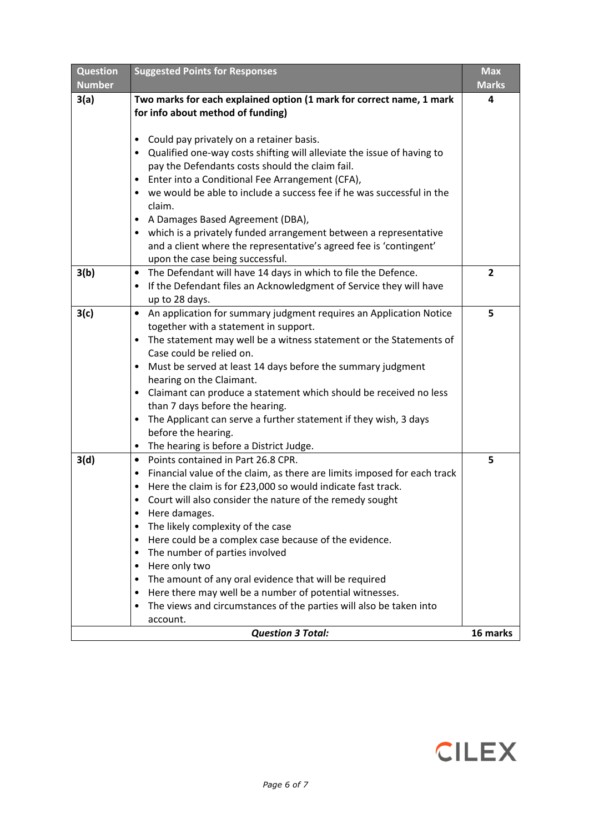| <b>Question</b><br><b>Number</b>     | <b>Suggested Points for Responses</b>                                                                                                                                                                                                                                                                                                                                                                                                                                                                                                                                                                                                                                | <b>Max</b><br><b>Marks</b> |
|--------------------------------------|----------------------------------------------------------------------------------------------------------------------------------------------------------------------------------------------------------------------------------------------------------------------------------------------------------------------------------------------------------------------------------------------------------------------------------------------------------------------------------------------------------------------------------------------------------------------------------------------------------------------------------------------------------------------|----------------------------|
| 3(a)                                 | Two marks for each explained option (1 mark for correct name, 1 mark<br>for info about method of funding)                                                                                                                                                                                                                                                                                                                                                                                                                                                                                                                                                            | 4                          |
|                                      | Could pay privately on a retainer basis.<br>٠<br>Qualified one-way costs shifting will alleviate the issue of having to<br>pay the Defendants costs should the claim fail.<br>Enter into a Conditional Fee Arrangement (CFA),<br>we would be able to include a success fee if he was successful in the<br>claim.<br>A Damages Based Agreement (DBA),<br>which is a privately funded arrangement between a representative<br>and a client where the representative's agreed fee is 'contingent'<br>upon the case being successful.                                                                                                                                    |                            |
| 3(b)                                 | The Defendant will have 14 days in which to file the Defence.<br>$\bullet$<br>If the Defendant files an Acknowledgment of Service they will have<br>$\bullet$<br>up to 28 days.                                                                                                                                                                                                                                                                                                                                                                                                                                                                                      | $\overline{2}$             |
| 3(c)                                 | An application for summary judgment requires an Application Notice<br>$\bullet$<br>together with a statement in support.<br>The statement may well be a witness statement or the Statements of<br>$\bullet$<br>Case could be relied on.<br>Must be served at least 14 days before the summary judgment<br>hearing on the Claimant.<br>• Claimant can produce a statement which should be received no less<br>than 7 days before the hearing.<br>The Applicant can serve a further statement if they wish, 3 days<br>٠<br>before the hearing.<br>The hearing is before a District Judge.<br>$\bullet$                                                                 | 5                          |
| 3(d)                                 | Points contained in Part 26.8 CPR.<br>$\bullet$<br>Financial value of the claim, as there are limits imposed for each track<br>٠<br>Here the claim is for £23,000 so would indicate fast track.<br>Court will also consider the nature of the remedy sought<br>٠<br>Here damages.<br>The likely complexity of the case<br>Here could be a complex case because of the evidence.<br>The number of parties involved<br>$\bullet$<br>Here only two<br>٠<br>The amount of any oral evidence that will be required<br>Here there may well be a number of potential witnesses.<br>٠<br>The views and circumstances of the parties will also be taken into<br>٠<br>account. | 5                          |
| <b>Question 3 Total:</b><br>16 marks |                                                                                                                                                                                                                                                                                                                                                                                                                                                                                                                                                                                                                                                                      |                            |